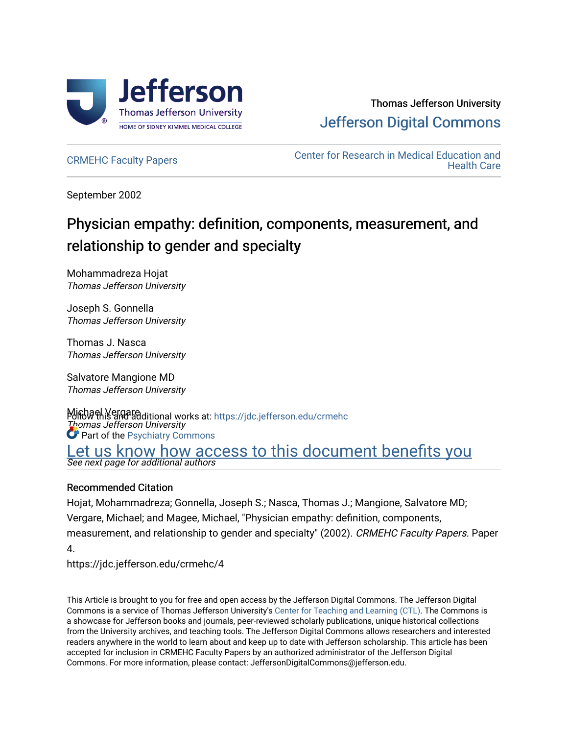

# Thomas Jefferson University [Jefferson Digital Commons](https://jdc.jefferson.edu/)

[CRMEHC Faculty Papers](https://jdc.jefferson.edu/crmehc) [Center for Research in Medical Education and](https://jdc.jefferson.edu/jmc-crmehc)  [Health Care](https://jdc.jefferson.edu/jmc-crmehc) 

September 2002

# Physician empathy: definition, components, measurement, and relationship to gender and specialty

Mohammadreza Hojat Thomas Jefferson University

Joseph S. Gonnella Thomas Jefferson University

Thomas J. Nasca Thomas Jefferson University

Salvatore Mangione MD Thomas Jefferson University

Michael Vergare Thomas Jefferson University Let us know how access to this document benefits you<br>See next page for additional authors Follow this and additional works at: [https://jdc.jefferson.edu/crmehc](https://jdc.jefferson.edu/crmehc?utm_source=jdc.jefferson.edu%2Fcrmehc%2F4&utm_medium=PDF&utm_campaign=PDFCoverPages) Part of the [Psychiatry Commons](http://network.bepress.com/hgg/discipline/704?utm_source=jdc.jefferson.edu%2Fcrmehc%2F4&utm_medium=PDF&utm_campaign=PDFCoverPages) 

## Recommended Citation

Hojat, Mohammadreza; Gonnella, Joseph S.; Nasca, Thomas J.; Mangione, Salvatore MD; Vergare, Michael; and Magee, Michael, "Physician empathy: definition, components, measurement, and relationship to gender and specialty" (2002). CRMEHC Faculty Papers. Paper 4.

https://jdc.jefferson.edu/crmehc/4

This Article is brought to you for free and open access by the Jefferson Digital Commons. The Jefferson Digital Commons is a service of Thomas Jefferson University's [Center for Teaching and Learning \(CTL\)](http://www.jefferson.edu/university/teaching-learning.html/). The Commons is a showcase for Jefferson books and journals, peer-reviewed scholarly publications, unique historical collections from the University archives, and teaching tools. The Jefferson Digital Commons allows researchers and interested readers anywhere in the world to learn about and keep up to date with Jefferson scholarship. This article has been accepted for inclusion in CRMEHC Faculty Papers by an authorized administrator of the Jefferson Digital Commons. For more information, please contact: JeffersonDigitalCommons@jefferson.edu.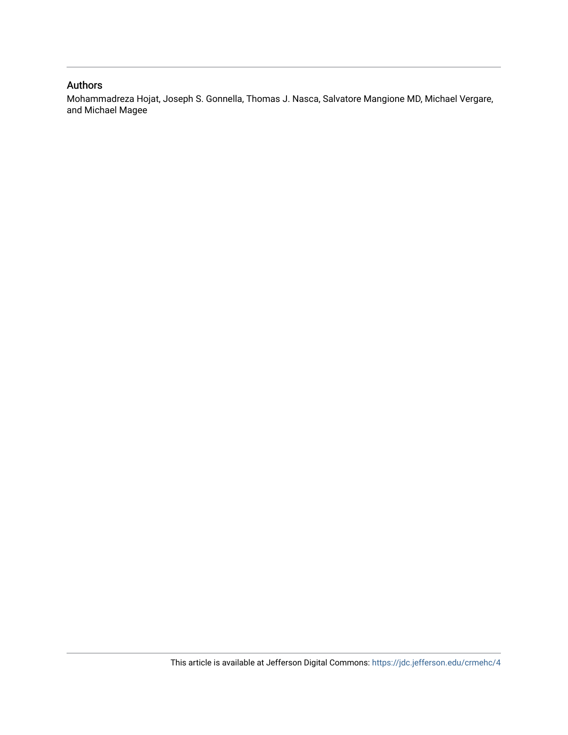## Authors

Mohammadreza Hojat, Joseph S. Gonnella, Thomas J. Nasca, Salvatore Mangione MD, Michael Vergare, and Michael Magee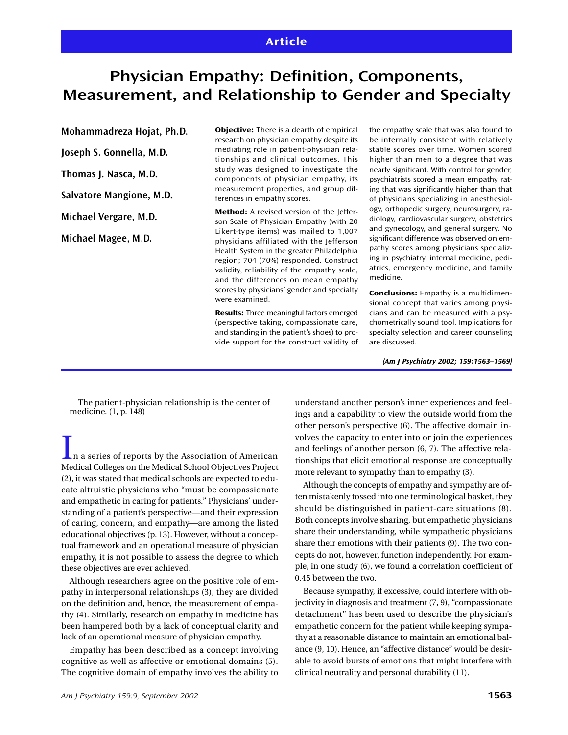## **Article**

## **Physician Empathy: Definition, Components, Measurement, and Relationship to Gender and Specialty**

**Mohammadreza Hojat, Ph.D.**

**Joseph S. Gonnella, M.D.**

**Thomas J. Nasca, M.D.**

**Salvatore Mangione, M.D.**

**Michael Vergare, M.D.**

**Michael Magee, M.D.**

**Objective:** There is a dearth of empirical research on physician empathy despite its mediating role in patient-physician relationships and clinical outcomes. This study was designed to investigate the components of physician empathy, its measurement properties, and group differences in empathy scores.

**Method:** A revised version of the Jefferson Scale of Physician Empathy (with 20 Likert-type items) was mailed to 1,007 physicians affiliated with the Jefferson Health System in the greater Philadelphia region; 704 (70%) responded. Construct validity, reliability of the empathy scale, and the differences on mean empathy scores by physicians' gender and specialty were examined.

**Results:** Three meaningful factors emerged (perspective taking, compassionate care, and standing in the patient's shoes) to provide support for the construct validity of the empathy scale that was also found to be internally consistent with relatively stable scores over time. Women scored higher than men to a degree that was nearly significant. With control for gender, psychiatrists scored a mean empathy rating that was significantly higher than that of physicians specializing in anesthesiology, orthopedic surgery, neurosurgery, radiology, cardiovascular surgery, obstetrics and gynecology, and general surgery. No significant difference was observed on empathy scores among physicians specializing in psychiatry, internal medicine, pediatrics, emergency medicine, and family medicine.

**Conclusions:** Empathy is a multidimensional concept that varies among physicians and can be measured with a psychometrically sound tool. Implications for specialty selection and career counseling are discussed.

*(Am J Psychiatry 2002; 159:1563–1569)*

The patient-physician relationship is the center of medicine. (1, p. 148)

 $\mathbf{\mathbf{\bot}}$ n a series of reports by the Association of American Medical Colleges on the Medical School Objectives Project (2), it was stated that medical schools are expected to educate altruistic physicians who "must be compassionate and empathetic in caring for patients." Physicians' understanding of a patient's perspective—and their expression of caring, concern, and empathy—are among the listed educational objectives (p. 13). However, without a conceptual framework and an operational measure of physician empathy, it is not possible to assess the degree to which these objectives are ever achieved.

Although researchers agree on the positive role of empathy in interpersonal relationships (3), they are divided on the definition and, hence, the measurement of empathy (4). Similarly, research on empathy in medicine has been hampered both by a lack of conceptual clarity and lack of an operational measure of physician empathy.

Empathy has been described as a concept involving cognitive as well as affective or emotional domains (5). The cognitive domain of empathy involves the ability to

*Am J Psychiatry 159:9, September 2002* **1563**

understand another person's inner experiences and feelings and a capability to view the outside world from the other person's perspective (6). The affective domain involves the capacity to enter into or join the experiences and feelings of another person (6, 7). The affective relationships that elicit emotional response are conceptually more relevant to sympathy than to empathy (3).

Although the concepts of empathy and sympathy are often mistakenly tossed into one terminological basket, they should be distinguished in patient-care situations (8). Both concepts involve sharing, but empathetic physicians share their understanding, while sympathetic physicians share their emotions with their patients (9). The two concepts do not, however, function independently. For example, in one study (6), we found a correlation coefficient of 0.45 between the two.

Because sympathy, if excessive, could interfere with objectivity in diagnosis and treatment (7, 9), "compassionate detachment" has been used to describe the physician's empathetic concern for the patient while keeping sympathy at a reasonable distance to maintain an emotional balance (9, 10). Hence, an "affective distance" would be desirable to avoid bursts of emotions that might interfere with clinical neutrality and personal durability (11).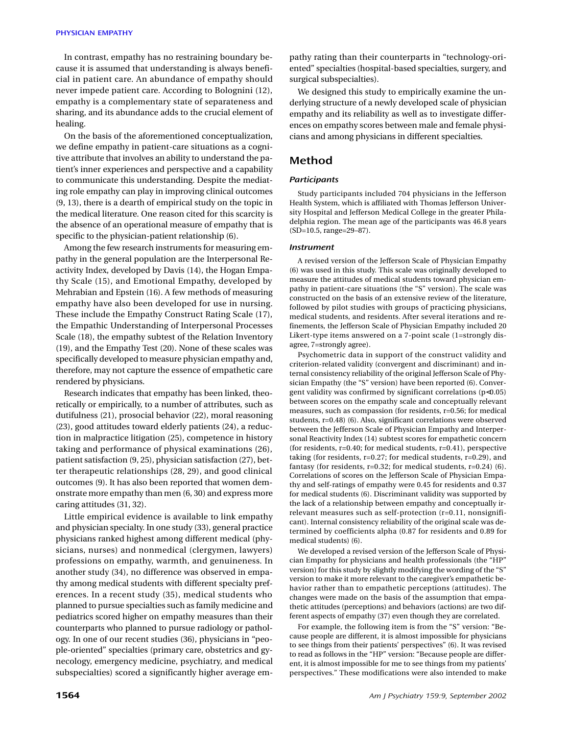In contrast, empathy has no restraining boundary because it is assumed that understanding is always beneficial in patient care. An abundance of empathy should never impede patient care. According to Bolognini (12), empathy is a complementary state of separateness and sharing, and its abundance adds to the crucial element of healing.

On the basis of the aforementioned conceptualization, we define empathy in patient-care situations as a cognitive attribute that involves an ability to understand the patient's inner experiences and perspective and a capability to communicate this understanding. Despite the mediating role empathy can play in improving clinical outcomes (9, 13), there is a dearth of empirical study on the topic in the medical literature. One reason cited for this scarcity is the absence of an operational measure of empathy that is specific to the physician-patient relationship (6).

Among the few research instruments for measuring empathy in the general population are the Interpersonal Reactivity Index, developed by Davis (14), the Hogan Empathy Scale (15), and Emotional Empathy, developed by Mehrabian and Epstein (16). A few methods of measuring empathy have also been developed for use in nursing. These include the Empathy Construct Rating Scale (17), the Empathic Understanding of Interpersonal Processes Scale (18), the empathy subtest of the Relation Inventory (19), and the Empathy Test (20). None of these scales was specifically developed to measure physician empathy and, therefore, may not capture the essence of empathetic care rendered by physicians.

Research indicates that empathy has been linked, theoretically or empirically, to a number of attributes, such as dutifulness (21), prosocial behavior (22), moral reasoning (23), good attitudes toward elderly patients (24), a reduction in malpractice litigation (25), competence in history taking and performance of physical examinations (26), patient satisfaction (9, 25), physician satisfaction (27), better therapeutic relationships (28, 29), and good clinical outcomes (9). It has also been reported that women demonstrate more empathy than men (6, 30) and express more caring attitudes (31, 32).

Little empirical evidence is available to link empathy and physician specialty. In one study (33), general practice physicians ranked highest among different medical (physicians, nurses) and nonmedical (clergymen, lawyers) professions on empathy, warmth, and genuineness. In another study (34), no difference was observed in empathy among medical students with different specialty preferences. In a recent study (35), medical students who planned to pursue specialties such as family medicine and pediatrics scored higher on empathy measures than their counterparts who planned to pursue radiology or pathology. In one of our recent studies (36), physicians in "people-oriented" specialties (primary care, obstetrics and gynecology, emergency medicine, psychiatry, and medical subspecialties) scored a significantly higher average empathy rating than their counterparts in "technology-oriented" specialties (hospital-based specialties, surgery, and surgical subspecialties).

We designed this study to empirically examine the underlying structure of a newly developed scale of physician empathy and its reliability as well as to investigate differences on empathy scores between male and female physicians and among physicians in different specialties.

## **Method**

#### *Participants*

Study participants included 704 physicians in the Jefferson Health System, which is affiliated with Thomas Jefferson University Hospital and Jefferson Medical College in the greater Philadelphia region. The mean age of the participants was 46.8 years (SD=10.5, range=29–87).

#### *Instrument*

A revised version of the Jefferson Scale of Physician Empathy (6) was used in this study. This scale was originally developed to measure the attitudes of medical students toward physician empathy in patient-care situations (the "S" version). The scale was constructed on the basis of an extensive review of the literature, followed by pilot studies with groups of practicing physicians, medical students, and residents. After several iterations and refinements, the Jefferson Scale of Physician Empathy included 20 Likert-type items answered on a 7-point scale (1=strongly disagree, 7=strongly agree).

Psychometric data in support of the construct validity and criterion-related validity (convergent and discriminant) and internal consistency reliability of the original Jefferson Scale of Physician Empathy (the "S" version) have been reported (6). Convergent validity was confirmed by significant correlations (p<0.05) between scores on the empathy scale and conceptually relevant measures, such as compassion (for residents, r=0.56; for medical students, r=0.48) (6). Also, significant correlations were observed between the Jefferson Scale of Physician Empathy and Interpersonal Reactivity Index (14) subtest scores for empathetic concern (for residents, r=0.40; for medical students, r=0.41), perspective taking (for residents, r=0.27; for medical students, r=0.29), and fantasy (for residents, r=0.32; for medical students, r=0.24) (6). Correlations of scores on the Jefferson Scale of Physician Empathy and self-ratings of empathy were 0.45 for residents and 0.37 for medical students (6). Discriminant validity was supported by the lack of a relationship between empathy and conceptually irrelevant measures such as self-protection (r=0.11, nonsignificant). Internal consistency reliability of the original scale was determined by coefficients alpha (0.87 for residents and 0.89 for medical students) (6).

We developed a revised version of the Jefferson Scale of Physician Empathy for physicians and health professionals (the "HP" version) for this study by slightly modifying the wording of the "S" version to make it more relevant to the caregiver's empathetic behavior rather than to empathetic perceptions (attitudes). The changes were made on the basis of the assumption that empathetic attitudes (perceptions) and behaviors (actions) are two different aspects of empathy (37) even though they are correlated.

For example, the following item is from the "S" version: "Because people are different, it is almost impossible for physicians to see things from their patients' perspectives" (6). It was revised to read as follows in the "HP" version: "Because people are different, it is almost impossible for me to see things from my patients' perspectives." These modifications were also intended to make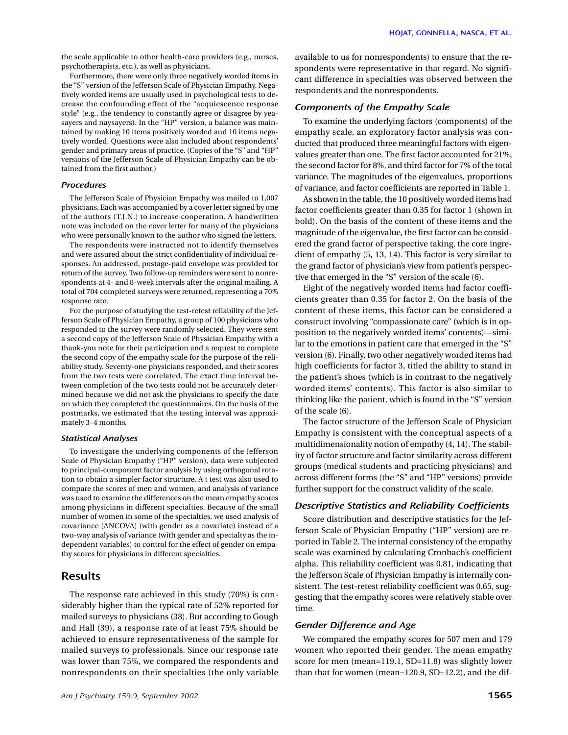the scale applicable to other health-care providers (e.g., nurses, psychotherapists, etc.), as well as physicians.

Furthermore, there were only three negatively worded items in the "S" version of the Jefferson Scale of Physician Empathy. Negatively worded items are usually used in psychological tests to decrease the confounding effect of the "acquiescence response style" (e.g., the tendency to constantly agree or disagree by yeasayers and naysayers). In the "HP" version, a balance was maintained by making 10 items positively worded and 10 items negatively worded. Questions were also included about respondents' gender and primary areas of practice. (Copies of the "S" and "HP" versions of the Jefferson Scale of Physician Empathy can be obtained from the first author.)

#### *Procedures*

The Jefferson Scale of Physician Empathy was mailed to 1,007 physicians. Each was accompanied by a cover letter signed by one of the authors (T.J.N.) to increase cooperation. A handwritten note was included on the cover letter for many of the physicians who were personally known to the author who signed the letters.

The respondents were instructed not to identify themselves and were assured about the strict confidentiality of individual responses. An addressed, postage-paid envelope was provided for return of the survey. Two follow-up reminders were sent to nonrespondents at 4- and 8-week intervals after the original mailing. A total of 704 completed surveys were returned, representing a 70% response rate.

For the purpose of studying the test-retest reliability of the Jefferson Scale of Physician Empathy, a group of 100 physicians who responded to the survey were randomly selected. They were sent a second copy of the Jefferson Scale of Physician Empathy with a thank-you note for their participation and a request to complete the second copy of the empathy scale for the purpose of the reliability study. Seventy-one physicians responded, and their scores from the two tests were correlated. The exact time interval between completion of the two tests could not be accurately determined because we did not ask the physicians to specify the date on which they completed the questionnaires. On the basis of the postmarks, we estimated that the testing interval was approximately 3–4 months.

#### *Statistical Analyses*

To investigate the underlying components of the Jefferson Scale of Physician Empathy ("HP" version), data were subjected to principal-component factor analysis by using orthogonal rotation to obtain a simpler factor structure. A t test was also used to compare the scores of men and women, and analysis of variance was used to examine the differences on the mean empathy scores among physicians in different specialties. Because of the small number of women in some of the specialties, we used analysis of covariance (ANCOVA) (with gender as a covariate) instead of a two-way analysis of variance (with gender and specialty as the independent variables) to control for the effect of gender on empathy scores for physicians in different specialties.

## **Results**

The response rate achieved in this study (70%) is considerably higher than the typical rate of 52% reported for mailed surveys to physicians (38). But according to Gough and Hall (39), a response rate of at least 75% should be achieved to ensure representativeness of the sample for mailed surveys to professionals. Since our response rate was lower than 75%, we compared the respondents and nonrespondents on their specialties (the only variable available to us for nonrespondents) to ensure that the respondents were representative in that regard. No significant difference in specialties was observed between the respondents and the nonrespondents.

#### *Components of the Empathy Scale*

To examine the underlying factors (components) of the empathy scale, an exploratory factor analysis was conducted that produced three meaningful factors with eigenvalues greater than one. The first factor accounted for 21%, the second factor for 8%, and third factor for 7% of the total variance. The magnitudes of the eigenvalues, proportions of variance, and factor coefficients are reported in Table 1.

As shown in the table, the 10 positively worded items had factor coefficients greater than 0.35 for factor 1 (shown in bold). On the basis of the content of these items and the magnitude of the eigenvalue, the first factor can be considered the grand factor of perspective taking, the core ingredient of empathy (5, 13, 14). This factor is very similar to the grand factor of physician's view from patient's perspective that emerged in the "S" version of the scale (6).

Eight of the negatively worded items had factor coefficients greater than 0.35 for factor 2. On the basis of the content of these items, this factor can be considered a construct involving "compassionate care" (which is in opposition to the negatively worded items' contents)—similar to the emotions in patient care that emerged in the "S" version (6). Finally, two other negatively worded items had high coefficients for factor 3, titled the ability to stand in the patient's shoes (which is in contrast to the negatively worded items' contents). This factor is also similar to thinking like the patient, which is found in the "S" version of the scale (6).

The factor structure of the Jefferson Scale of Physician Empathy is consistent with the conceptual aspects of a multidimensionality notion of empathy (4, 14). The stability of factor structure and factor similarity across different groups (medical students and practicing physicians) and across different forms (the "S" and "HP" versions) provide further support for the construct validity of the scale.

#### *Descriptive Statistics and Reliability Coefficients*

Score distribution and descriptive statistics for the Jefferson Scale of Physician Empathy ("HP" version) are reported in Table 2. The internal consistency of the empathy scale was examined by calculating Cronbach's coefficient alpha. This reliability coefficient was 0.81, indicating that the Jefferson Scale of Physician Empathy is internally consistent. The test-retest reliability coefficient was 0.65, suggesting that the empathy scores were relatively stable over time.

#### *Gender Difference and Age*

We compared the empathy scores for 507 men and 179 women who reported their gender. The mean empathy score for men (mean=119.1, SD=11.8) was slightly lower than that for women (mean=120.9, SD=12.2), and the dif-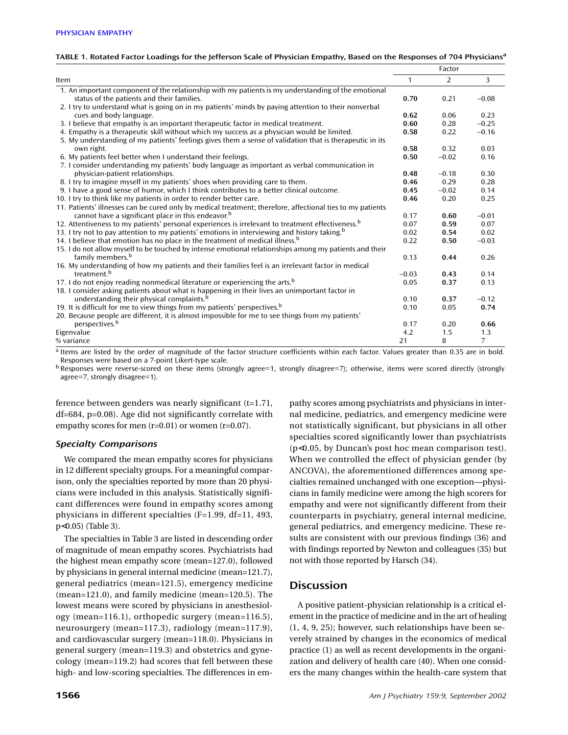#### **TABLE 1. Rotated Factor Loadings for the Jefferson Scale of Physician Empathy, Based on the Responses of 704 Physicians<sup>a</sup>**

|                                                                                                               | Factor  |         |                |
|---------------------------------------------------------------------------------------------------------------|---------|---------|----------------|
| Item                                                                                                          | 1       | 2       | 3              |
| 1. An important component of the relationship with my patients is my understanding of the emotional           |         |         |                |
| status of the patients and their families.                                                                    | 0.70    | 0.21    | $-0.08$        |
| 2. I try to understand what is going on in my patients' minds by paying attention to their nonverbal          |         |         |                |
| cues and body language.                                                                                       | 0.62    | 0.06    | 0.23           |
| 3. I believe that empathy is an important therapeutic factor in medical treatment.                            | 0.60    | 0.28    | $-0.25$        |
| 4. Empathy is a therapeutic skill without which my success as a physician would be limited.                   | 0.58    | 0.22    | $-0.16$        |
| 5. My understanding of my patients' feelings gives them a sense of validation that is therapeutic in its      |         |         |                |
| own right.                                                                                                    | 0.58    | 0.32    | 0.03           |
| 6. My patients feel better when I understand their feelings.                                                  | 0.50    | $-0.02$ | 0.16           |
| 7. I consider understanding my patients' body language as important as verbal communication in                |         |         |                |
| physician-patient relationships.                                                                              | 0.48    | $-0.18$ | 0.30           |
| 8. I try to imagine myself in my patients' shoes when providing care to them.                                 | 0.46    | 0.29    | 0.28           |
| 9. I have a good sense of humor, which I think contributes to a better clinical outcome.                      | 0.45    | $-0.02$ | 0.14           |
| 10. I try to think like my patients in order to render better care.                                           | 0.46    | 0.20    | 0.25           |
| 11. Patients' illnesses can be cured only by medical treatment; therefore, affectional ties to my patients    |         |         |                |
| cannot have a significant place in this endeavor. <sup>b</sup>                                                | 0.17    | 0.60    | $-0.01$        |
| 12. Attentiveness to my patients' personal experiences is irrelevant to treatment effectiveness. <sup>b</sup> | 0.07    | 0.59    | 0.07           |
| 13. I try not to pay attention to my patients' emotions in interviewing and history taking. <sup>b</sup>      | 0.02    | 0.54    | 0.02           |
| 14. I believe that emotion has no place in the treatment of medical illness. <sup>b</sup>                     | 0.22    | 0.50    | $-0.03$        |
| 15. I do not allow myself to be touched by intense emotional relationships among my patients and their        |         |         |                |
| family members. <sup>b</sup>                                                                                  | 0.13    | 0.44    | 0.26           |
| 16. My understanding of how my patients and their families feel is an irrelevant factor in medical            |         |         |                |
| treatment. <sup>b</sup>                                                                                       | $-0.03$ | 0.43    | 0.14           |
| 17. I do not enjoy reading nonmedical literature or experiencing the arts. <sup>b</sup>                       | 0.05    | 0.37    | 0.13           |
| 18. I consider asking patients about what is happening in their lives an unimportant factor in                |         |         |                |
| understanding their physical complaints. <sup>b</sup>                                                         | 0.10    | 0.37    | $-0.12$        |
| 19. It is difficult for me to view things from my patients' perspectives. <sup>b</sup>                        | 0.10    | 0.05    | 0.74           |
| 20. Because people are different, it is almost impossible for me to see things from my patients'              |         |         |                |
| perspectives. <sup>b</sup>                                                                                    | 0.17    | 0.20    | 0.66           |
| Eigenvalue                                                                                                    | 4.2     | 1.5     | 1.3            |
| % variance                                                                                                    | 21      | 8       | $\overline{7}$ |

<sup>a</sup> Items are listed by the order of magnitude of the factor structure coefficients within each factor. Values greater than 0.35 are in bold. Responses were based on a 7-point Likert-type scale.

b Responses were reverse-scored on these items (strongly agree=1, strongly disagree=7); otherwise, items were scored directly (strongly agree=7, strongly disagree=1).

ference between genders was nearly significant (t=1.71, df=684, p=0.08). Age did not significantly correlate with empathy scores for men (r=0.01) or women (r=0.07).

#### *Specialty Comparisons*

We compared the mean empathy scores for physicians in 12 different specialty groups. For a meaningful comparison, only the specialties reported by more than 20 physicians were included in this analysis. Statistically significant differences were found in empathy scores among physicians in different specialties (F=1.99, df=11, 493, p<0.05) (Table 3).

The specialties in Table 3 are listed in descending order of magnitude of mean empathy scores. Psychiatrists had the highest mean empathy score (mean=127.0), followed by physicians in general internal medicine (mean=121.7), general pediatrics (mean=121.5), emergency medicine (mean=121.0), and family medicine (mean=120.5). The lowest means were scored by physicians in anesthesiology (mean=116.1), orthopedic surgery (mean=116.5), neurosurgery (mean=117.3), radiology (mean=117.9), and cardiovascular surgery (mean=118.0). Physicians in general surgery (mean=119.3) and obstetrics and gynecology (mean=119.2) had scores that fell between these high- and low-scoring specialties. The differences in em-

pathy scores among psychiatrists and physicians in internal medicine, pediatrics, and emergency medicine were not statistically significant, but physicians in all other specialties scored significantly lower than psychiatrists (p<0.05, by Duncan's post hoc mean comparison test). When we controlled the effect of physician gender (by ANCOVA), the aforementioned differences among specialties remained unchanged with one exception—physicians in family medicine were among the high scorers for empathy and were not significantly different from their counterparts in psychiatry, general internal medicine, general pediatrics, and emergency medicine. These results are consistent with our previous findings (36) and with findings reported by Newton and colleagues (35) but not with those reported by Harsch (34).

### **Discussion**

A positive patient-physician relationship is a critical element in the practice of medicine and in the art of healing (1, 4, 9, 25); however, such relationships have been severely strained by changes in the economics of medical practice (1) as well as recent developments in the organization and delivery of health care (40). When one considers the many changes within the health-care system that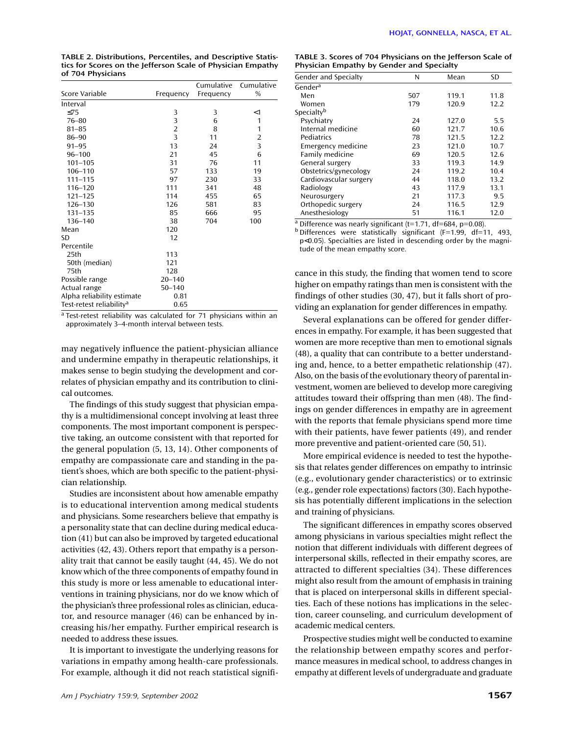**TABLE 2. Distributions, Percentiles, and Descriptive Statistics for Scores on the Jefferson Scale of Physician Empathy of 704 Physicians**

|                                      |                | Cumulative | Cumulative |
|--------------------------------------|----------------|------------|------------|
| Score Variable                       | Frequency      | Frequency  | %          |
| Interval                             |                |            |            |
| $\leq$ 75                            | 3              | 3          | $<$ 1      |
| $76 - 80$                            | 3              | 6          | 1          |
| $81 - 85$                            | $\overline{2}$ | 8          | 1          |
| 86-90                                | 3              | 11         | 2          |
| $91 - 95$                            | 13             | 24         | 3          |
| 96-100                               | 21             | 45         | 6          |
| $101 - 105$                          | 31             | 76         | 11         |
| 106-110                              | 57             | 133        | 19         |
| 111-115                              | 97             | 230        | 33         |
| 116-120                              | 111            | 341        | 48         |
| $121 - 125$                          | 114            | 455        | 65         |
| 126-130                              | 126            | 581        | 83         |
| 131-135                              | 85             | 666        | 95         |
| 136-140                              | 38             | 704        | 100        |
| Mean                                 | 120            |            |            |
| SD                                   | 12             |            |            |
| Percentile                           |                |            |            |
| 25th                                 | 113            |            |            |
| 50th (median)                        | 121            |            |            |
| 75th                                 | 128            |            |            |
| Possible range                       | $20 - 140$     |            |            |
| Actual range                         | $50 - 140$     |            |            |
| Alpha reliability estimate           | 0.81           |            |            |
| Test-retest reliability <sup>a</sup> | 0.65           |            |            |

a Test-retest reliability was calculated for 71 physicians within an approximately 3–4-month interval between tests.

may negatively influence the patient-physician alliance and undermine empathy in therapeutic relationships, it makes sense to begin studying the development and correlates of physician empathy and its contribution to clinical outcomes.

The findings of this study suggest that physician empathy is a multidimensional concept involving at least three components. The most important component is perspective taking, an outcome consistent with that reported for the general population (5, 13, 14). Other components of empathy are compassionate care and standing in the patient's shoes, which are both specific to the patient-physician relationship.

Studies are inconsistent about how amenable empathy is to educational intervention among medical students and physicians. Some researchers believe that empathy is a personality state that can decline during medical education (41) but can also be improved by targeted educational activities (42, 43). Others report that empathy is a personality trait that cannot be easily taught (44, 45). We do not know which of the three components of empathy found in this study is more or less amenable to educational interventions in training physicians, nor do we know which of the physician's three professional roles as clinician, educator, and resource manager (46) can be enhanced by increasing his/her empathy. Further empirical research is needed to address these issues.

It is important to investigate the underlying reasons for variations in empathy among health-care professionals. For example, although it did not reach statistical signifi-

**TABLE 3. Scores of 704 Physicians on the Jefferson Scale of Physician Empathy by Gender and Specialty**

| Gender and Specialty   | N   | Mean  | SD   |
|------------------------|-----|-------|------|
| Gender <sup>a</sup>    |     |       |      |
| Men                    | 507 | 119.1 | 11.8 |
| Women                  | 179 | 120.9 | 12.2 |
| Specialtv <sup>b</sup> |     |       |      |
| Psychiatry             | 24  | 127.0 | 5.5  |
| Internal medicine      | 60  | 121.7 | 10.6 |
| Pediatrics             | 78  | 121.5 | 12.2 |
| Emergency medicine     | 23  | 121.0 | 10.7 |
| Family medicine        | 69  | 120.5 | 12.6 |
| General surgery        | 33  | 119.3 | 14.9 |
| Obstetrics/gynecology  | 24  | 119.2 | 10.4 |
| Cardiovascular surgery | 44  | 118.0 | 13.2 |
| Radiology              | 43  | 117.9 | 13.1 |
| Neurosurgery           | 21  | 117.3 | 9.5  |
| Orthopedic surgery     | 24  | 116.5 | 12.9 |
| Anesthesiology         | 51  | 116.1 | 12.0 |

 $a$  Difference was nearly significant (t=1.71, df=684, p=0.08).

<sup>b</sup> Differences were statistically significant (F=1.99, df=11, 493, p<0.05). Specialties are listed in descending order by the magnitude of the mean empathy score.

cance in this study, the finding that women tend to score higher on empathy ratings than men is consistent with the findings of other studies (30, 47), but it falls short of providing an explanation for gender differences in empathy.

Several explanations can be offered for gender differences in empathy. For example, it has been suggested that women are more receptive than men to emotional signals (48), a quality that can contribute to a better understanding and, hence, to a better empathetic relationship (47). Also, on the basis of the evolutionary theory of parental investment, women are believed to develop more caregiving attitudes toward their offspring than men (48). The findings on gender differences in empathy are in agreement with the reports that female physicians spend more time with their patients, have fewer patients (49), and render more preventive and patient-oriented care (50, 51).

More empirical evidence is needed to test the hypothesis that relates gender differences on empathy to intrinsic (e.g., evolutionary gender characteristics) or to extrinsic (e.g., gender role expectations) factors (30). Each hypothesis has potentially different implications in the selection and training of physicians.

The significant differences in empathy scores observed among physicians in various specialties might reflect the notion that different individuals with different degrees of interpersonal skills, reflected in their empathy scores, are attracted to different specialties (34). These differences might also result from the amount of emphasis in training that is placed on interpersonal skills in different specialties. Each of these notions has implications in the selection, career counseling, and curriculum development of academic medical centers.

Prospective studies might well be conducted to examine the relationship between empathy scores and performance measures in medical school, to address changes in empathy at different levels of undergraduate and graduate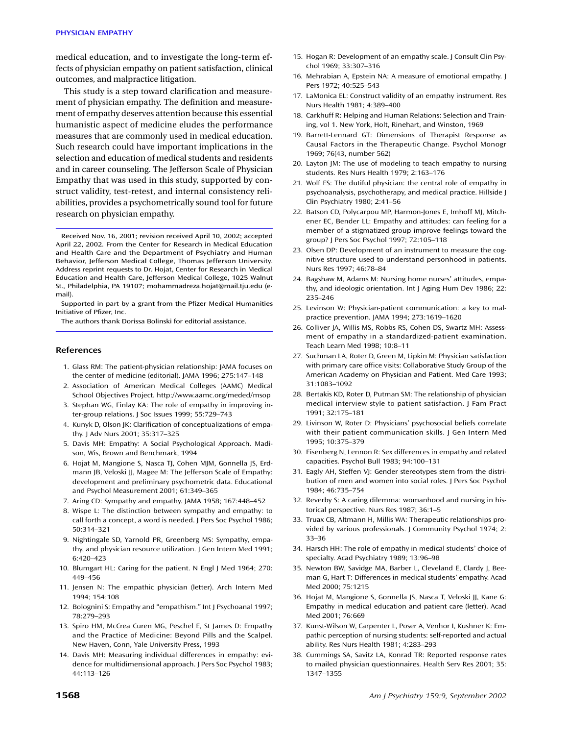medical education, and to investigate the long-term effects of physician empathy on patient satisfaction, clinical outcomes, and malpractice litigation.

This study is a step toward clarification and measurement of physician empathy. The definition and measurement of empathy deserves attention because this essential humanistic aspect of medicine eludes the performance measures that are commonly used in medical education. Such research could have important implications in the selection and education of medical students and residents and in career counseling. The Jefferson Scale of Physician Empathy that was used in this study, supported by construct validity, test-retest, and internal consistency reliabilities, provides a psychometrically sound tool for future research on physician empathy.

Received Nov. 16, 2001; revision received April 10, 2002; accepted April 22, 2002. From the Center for Research in Medical Education and Health Care and the Department of Psychiatry and Human Behavior, Jefferson Medical College, Thomas Jefferson University. Address reprint requests to Dr. Hojat, Center for Research in Medical Education and Health Care, Jefferson Medical College, 1025 Walnut St., Philadelphia, PA 19107; mohammadreza.hojat@mail.tju.edu (email).

Supported in part by a grant from the Pfizer Medical Humanities Initiative of Pfizer, Inc.

The authors thank Dorissa Bolinski for editorial assistance.

#### **References**

- 1. Glass RM: The patient-physician relationship: JAMA focuses on the center of medicine (editorial). JAMA 1996; 275:147–148
- 2. Association of American Medical Colleges (AAMC) Medical School Objectives Project. http://www.aamc.org/meded/msop
- 3. Stephan WG, Finlay KA: The role of empathy in improving inter-group relations. J Soc Issues 1999; 55:729–743
- 4. Kunyk D, Olson JK: Clarification of conceptualizations of empathy. J Adv Nurs 2001; 35:317–325
- 5. Davis MH: Empathy: A Social Psychological Approach. Madison, Wis, Brown and Benchmark, 1994
- 6. Hojat M, Mangione S, Nasca TJ, Cohen MJM, Gonnella JS, Erdmann JB, Veloski JJ, Magee M: The Jefferson Scale of Empathy: development and preliminary psychometric data. Educational and Psychol Measurement 2001; 61:349–365
- 7. Aring CD: Sympathy and empathy. JAMA 1958; 167:448–452
- 8. Wispe L: The distinction between sympathy and empathy: to call forth a concept, a word is needed. J Pers Soc Psychol 1986; 50:314–321
- 9. Nightingale SD, Yarnold PR, Greenberg MS: Sympathy, empathy, and physician resource utilization. J Gen Intern Med 1991; 6:420–423
- 10. Blumgart HL: Caring for the patient. N Engl J Med 1964; 270: 449–456
- 11. Jensen N: The empathic physician (letter). Arch Intern Med 1994; 154:108
- 12. Bolognini S: Empathy and "empathism." Int J Psychoanal 1997; 78:279–293
- 13. Spiro HM, McCrea Curen MG, Peschel E, St James D: Empathy and the Practice of Medicine: Beyond Pills and the Scalpel. New Haven, Conn, Yale University Press, 1993
- 14. Davis MH: Measuring individual differences in empathy: evidence for multidimensional approach. J Pers Soc Psychol 1983; 44:113–126
- 15. Hogan R: Development of an empathy scale. J Consult Clin Psychol 1969; 33:307–316
- 16. Mehrabian A, Epstein NA: A measure of emotional empathy. J Pers 1972; 40:525–543
- 17. LaMonica EL: Construct validity of an empathy instrument. Res Nurs Health 1981; 4:389–400
- 18. Carkhuff R: Helping and Human Relations: Selection and Training, vol 1. New York, Holt, Rinehart, and Winston, 1969
- 19. Barrett-Lennard GT: Dimensions of Therapist Response as Causal Factors in the Therapeutic Change. Psychol Monogr 1969; 76(43, number 562)
- 20. Layton JM: The use of modeling to teach empathy to nursing students. Res Nurs Health 1979; 2:163–176
- 21. Wolf ES: The dutiful physician: the central role of empathy in psychoanalysis, psychotherapy, and medical practice. Hillside J Clin Psychiatry 1980; 2:41–56
- 22. Batson CD, Polycarpou MP, Harmon-Jones E, Imhoff MJ, Mitchener EC, Bender LL: Empathy and attitudes: can feeling for a member of a stigmatized group improve feelings toward the group? J Pers Soc Psychol 1997; 72:105–118
- 23. Olsen DP: Development of an instrument to measure the cognitive structure used to understand personhood in patients. Nurs Res 1997; 46:78–84
- 24. Bagshaw M, Adams M: Nursing home nurses' attitudes, empathy, and ideologic orientation. Int J Aging Hum Dev 1986; 22: 235–246
- 25. Levinson W: Physician-patient communication: a key to malpractice prevention. JAMA 1994; 273:1619–1620
- 26. Colliver JA, Willis MS, Robbs RS, Cohen DS, Swartz MH: Assessment of empathy in a standardized-patient examination. Teach Learn Med 1998; 10:8–11
- 27. Suchman LA, Roter D, Green M, Lipkin M: Physician satisfaction with primary care office visits: Collaborative Study Group of the American Academy on Physician and Patient. Med Care 1993; 31:1083–1092
- 28. Bertakis KD, Roter D, Putman SM: The relationship of physician medical interview style to patient satisfaction. J Fam Pract 1991; 32:175–181
- 29. Livinson W, Roter D: Physicians' psychosocial beliefs correlate with their patient communication skills. J Gen Intern Med 1995; 10:375–379
- 30. Eisenberg N, Lennon R: Sex differences in empathy and related capacities. Psychol Bull 1983; 94:100–131
- 31. Eagly AH, Steffen VJ: Gender stereotypes stem from the distribution of men and women into social roles. J Pers Soc Psychol 1984; 46:735–754
- 32. Reverby S: A caring dilemma: womanhood and nursing in historical perspective. Nurs Res 1987; 36:1–5
- 33. Truax CB, Altmann H, Millis WA: Therapeutic relationships provided by various professionals. J Community Psychol 1974; 2: 33–36
- 34. Harsch HH: The role of empathy in medical students' choice of specialty. Acad Psychiatry 1989; 13:96–98
- 35. Newton BW, Savidge MA, Barber L, Cleveland E, Clardy J, Beeman G, Hart T: Differences in medical students' empathy. Acad Med 2000; 75:1215
- 36. Hojat M, Mangione S, Gonnella JS, Nasca T, Veloski JJ, Kane G: Empathy in medical education and patient care (letter). Acad Med 2001; 76:669
- 37. Kunst-Wilson W, Carpenter L, Poser A, Venhor I, Kushner K: Empathic perception of nursing students: self-reported and actual ability. Res Nurs Health 1981; 4:283–293
- 38. Cummings SA, Savitz LA, Konrad TR: Reported response rates to mailed physician questionnaires. Health Serv Res 2001; 35: 1347–1355